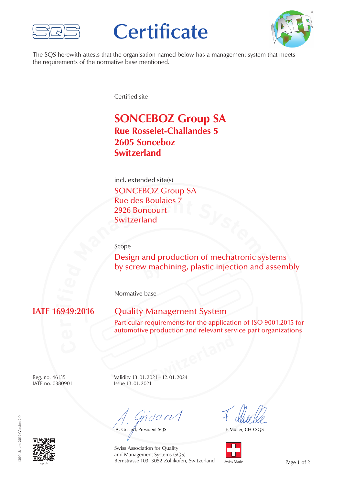

# **Certificate**



The SQS herewith attests that the organisation named below has a management system that meets the requirements of the normative base mentioned.

Certified site

## **SONCEBOZ Group SA Rue Rosselet-Challandes 5 2605 Sonceboz Switzerland**

incl. extended site(s) SONCEBOZ Group SA Rue des Boulaies 7 2926 Boncourt Switzerland

Scope

**Mate des Boulaies /<br>
2926 Boncourt<br>
Switzerland<br>
Scope<br>
Design and production of mechatronic systems by** by screw machining, plastic injection and assembly

Normative base

#### 094) **i**

### **Quality Management System**

Particular requirements for the application of ISO 9001:2015 for automotive production and relevant service part organizations

IATF no. 0380901 Issue 13.01.2021

**SWITZER 1999** Reg. no. 46135 Validity 13.01.2021– 12.01.2024

muant

A. Grisard, President SQS

F. Müller, CEO SQS



sqs.ch